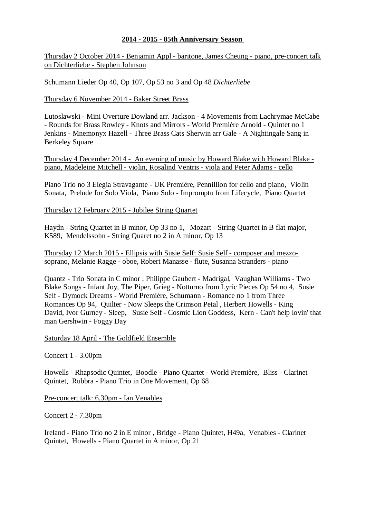# **2014 - 2015 - 85th Anniversary Season**

Thursday 2 October 2014 - Benjamin Appl - baritone, James Cheung - piano, pre-concert talk on Dichterliebe - Stephen Johnson

Schumann Lieder Op 40, Op 107, Op 53 no 3 and Op 48 *Dichterliebe* 

### Thursday 6 November 2014 - Baker Street Brass

Lutoslawski - Mini Overture Dowland arr. Jackson - 4 Movements from Lachrymae McCabe - Rounds for Brass Rowley - Knots and Mirrors - World Première Arnold - Quintet no 1 Jenkins - Mnemonyx Hazell - Three Brass Cats Sherwin arr Gale - A Nightingale Sang in Berkeley Square

Thursday 4 December 2014 - An evening of music by Howard Blake with Howard Blake piano, Madeleine Mitchell - violin, Rosalind Ventris - viola and Peter Adams - cello

Piano Trio no 3 Elegia Stravagante - UK Première, Pennillion for cello and piano, Violin Sonata, Prelude for Solo Viola, Piano Solo - Impromptu from Lifecycle, Piano Quartet

Thursday 12 February 2015 - Jubilee String Quartet

Haydn - String Quartet in B minor, Op 33 no 1, Mozart - String Quartet in B flat major, K589, Mendelssohn - String Quaret no 2 in A minor, Op 13

Thursday 12 March 2015 - Ellipsis with Susie Self: Susie Self - composer and mezzosoprano, Melanie Ragge - oboe, Robert Manasse - flute, Susanna Stranders - piano

Quantz - Trio Sonata in C minor , Philippe Gaubert - Madrigal, Vaughan Williams - Two Blake Songs - Infant Joy, The Piper, Grieg - Notturno from Lyric Pieces Op 54 no 4, Susie Self - Dymock Dreams - World Première, Schumann - Romance no 1 from Three Romances Op 94, Quilter - Now Sleeps the Crimson Petal , Herbert Howells - King David, Ivor Gurney - Sleep, Susie Self - Cosmic Lion Goddess, Kern - Can't help lovin' that man Gershwin - Foggy Day

Saturday 18 April - The Goldfield Ensemble

### Concert 1 - 3.00pm

Howells - Rhapsodic Quintet, Boodle - Piano Quartet - World Première, Bliss - Clarinet Quintet, Rubbra - Piano Trio in One Movement, Op 68

Pre-concert talk: 6.30pm - Ian Venables

Concert 2 - 7.30pm

Ireland - Piano Trio no 2 in E minor , Bridge - Piano Quintet, H49a, Venables - Clarinet Quintet, Howells - Piano Quartet in A minor, Op 21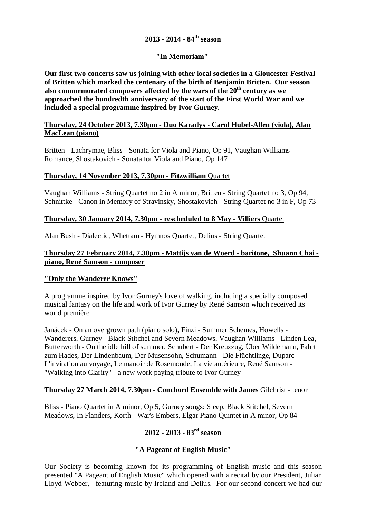# **2013 - 2014 - 84th season**

# **"In Memoriam"**

**Our first two concerts saw us joining with other local societies in a Gloucester Festival of Britten which marked the centenary of the birth of Benjamin Britten. Our season also commemorated composers affected by the wars of the 20th century as we approached the hundredth anniversary of the start of the First World War and we included a special programme inspired by Ivor Gurney.**

## **Thursday, 24 October 2013, 7.30pm - Duo Karadys - Carol Hubel-Allen (viola), Alan MacLean (piano)**

Britten - Lachrymae, Bliss - Sonata for Viola and Piano, Op 91, Vaughan Williams - Romance, Shostakovich - Sonata for Viola and Piano, Op 147

## **Thursday, 14 November 2013, 7.30pm - Fitzwilliam** Quartet

Vaughan Williams - String Quartet no 2 in A minor, Britten - String Quartet no 3, Op 94, Schnittke - Canon in Memory of Stravinsky, Shostakovich - String Quartet no 3 in F, Op 73

## **Thursday, 30 January 2014, 7.30pm - rescheduled to 8 May - Villiers** Quartet

Alan Bush - Dialectic, Whettam - Hymnos Quartet, Delius - String Quartet

## **Thursday 27 February 2014, 7.30pm - Mattijs van de Woerd - baritone, Shuann Chai piano, René Samson - composer**

### **"Only the Wanderer Knows"**

A programme inspired by Ivor Gurney's love of walking, including a specially composed musical fantasy on the life and work of Ivor Gurney by René Samson which received its world première

Janácek - On an overgrown path (piano solo), Finzi - Summer Schemes, Howells - Wanderers, Gurney - Black Stitchel and Severn Meadows, Vaughan Williams - Linden Lea, Butterworth - On the idle hill of summer, Schubert - Der Kreuzzug, Über Wildemann, Fahrt zum Hades, Der Lindenbaum, Der Musensohn, Schumann - Die Flüchtlinge, Duparc - L'invitation au voyage, Le manoir de Rosemonde, La vie antérieure, René Samson - "Walking into Clarity" - a new work paying tribute to Ivor Gurney

### **Thursday 27 March 2014, 7.30pm - Conchord Ensemble with James** Gilchrist - tenor

Bliss - Piano Quartet in A minor, Op 5, Gurney songs: Sleep, Black Stitchel, Severn Meadows, In Flanders, Korth - War's Embers, Elgar Piano Quintet in A minor, Op 84

# **2012 - 2013 - 83rd season**

# **"A Pageant of English Music"**

Our Society is becoming known for its programming of English music and this season presented "A Pageant of English Music" which opened with a recital by our President, Julian Lloyd Webber, featuring music by Ireland and Delius. For our second concert we had our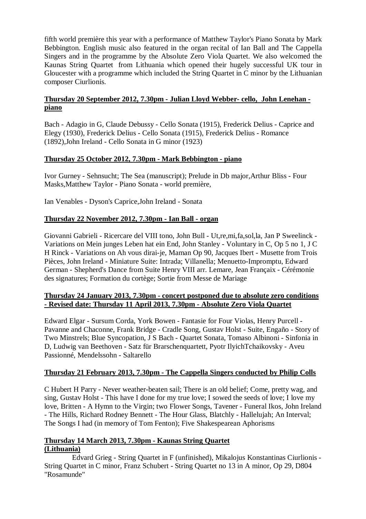fifth world première this year with a performance of Matthew Taylor's Piano Sonata by Mark Bebbington. English music also featured in the organ recital of Ian Ball and The Cappella Singers and in the programme by the Absolute Zero Viola Quartet. We also welcomed the Kaunas String Quartet from Lithuania which opened their hugely successful UK tour in Gloucester with a programme which included the String Quartet in C minor by the Lithuanian composer Ciurlionis.

# **Thursday 20 September 2012, 7.30pm - Julian Lloyd Webber- cello, John Lenehan piano**

Bach - Adagio in G, Claude Debussy - Cello Sonata (1915), Frederick Delius - Caprice and Elegy (1930), Frederick Delius - Cello Sonata (1915), Frederick Delius - Romance (1892),John Ireland - Cello Sonata in G minor (1923)

# **Thursday 25 October 2012, 7.30pm - Mark Bebbington - piano**

Ivor Gurney - Sehnsucht; The Sea (manuscript); Prelude in Db major,Arthur Bliss - Four Masks,Matthew Taylor - Piano Sonata - world première,

Ian Venables - Dyson's Caprice,John Ireland - Sonata

# **Thursday 22 November 2012, 7.30pm - Ian Ball - organ**

Giovanni Gabrieli - Ricercare del VIII tono, John Bull - Ut,re,mi,fa,sol,la, Jan P Sweelinck - Variations on Mein junges Leben hat ein End, John Stanley - Voluntary in C, Op 5 no 1, J C H Rinck - Variations on Ah vous dirai-je, Maman Op 90, Jacques Ibert - Musette from Trois Pièces, John Ireland - Miniature Suite: Intrada; Villanella; Menuetto-Impromptu, Edward German - Shepherd's Dance from Suite Henry VIII arr. Lemare, Jean Françaix - Cérémonie des signatures; Formation du cortège; Sortie from Messe de Mariage

## **Thursday 24 January 2013, 7.30pm - concert postponed due to absolute zero conditions - Revised date: Thursday 11 April 2013, 7.30pm - Absolute Zero Viola Quartet**

Edward Elgar - Sursum Corda, York Bowen - Fantasie for Four Violas, Henry Purcell - Pavanne and Chaconne, Frank Bridge - Cradle Song, Gustav Holst - Suite, Engaño - Story of Two Minstrels; Blue Syncopation, J S Bach - Quartet Sonata, Tomaso Albinoni - Sinfonia in D, Ludwig van Beethoven - Satz für Brarschenquartett, Pyotr IlyichTchaikovsky - Aveu Passionné, Mendelssohn - Saltarello

# **Thursday 21 February 2013, 7.30pm - The Cappella Singers conducted by Philip Colls**

C Hubert H Parry - Never weather-beaten sail; There is an old belief; Come, pretty wag, and sing, Gustav Holst - This have I done for my true love; I sowed the seeds of love; I love my love, Britten - A Hymn to the Virgin; two Flower Songs, Tavener - Funeral Ikos, John Ireland - The Hills, Richard Rodney Bennett - The Hour Glass, Blatchly - Hallelujah; An Interval; The Songs I had (in memory of Tom Fenton); Five Shakespearean Aphorisms

# **Thursday 14 March 2013, 7.30pm - Kaunas String Quartet (Lithuania)**

 Edvard Grieg - String Quartet in F (unfinished), Mikalojus Konstantinas Ciurlionis - String Quartet in C minor, Franz Schubert - String Quartet no 13 in A minor, Op 29, D804 "Rosamunde"